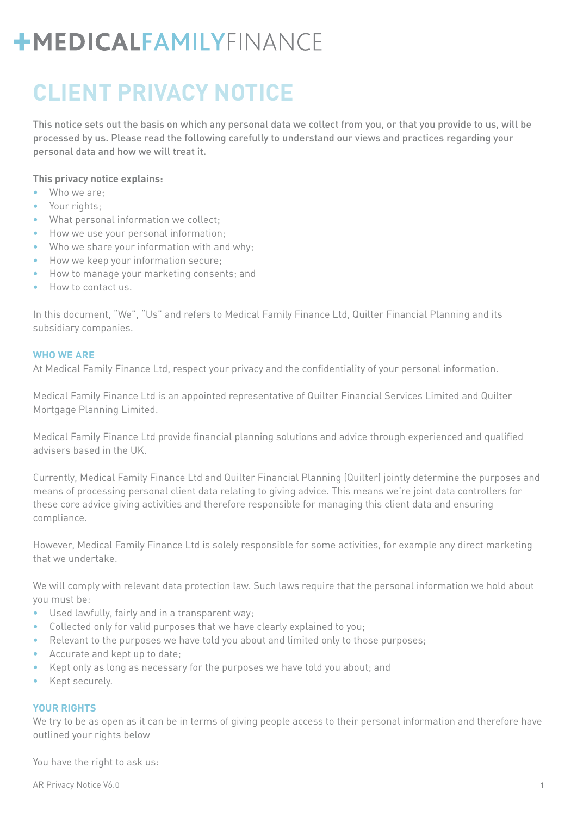## **CLIENT PRIVACY NOTICE**

This notice sets out the basis on which any personal data we collect from you, or that you provide to us, will be processed by us. Please read the following carefully to understand our views and practices regarding your personal data and how we will treat it.

#### **This privacy notice explains:**

- **•** Who we are;
- **•** Your rights;
- **•** What personal information we collect;
- **•** How we use your personal information;
- **•** Who we share your information with and why;
- **•** How we keep your information secure;
- **•** How to manage your marketing consents; and
- **•** How to contact us.

In this document, "We", "Us" and refers to Medical Family Finance Ltd, Quilter Financial Planning and its subsidiary companies.

#### **WHO WE ARE**

At Medical Family Finance Ltd, respect your privacy and the confidentiality of your personal information.

Medical Family Finance Ltd is an appointed representative of Quilter Financial Services Limited and Quilter Mortgage Planning Limited.

Medical Family Finance Ltd provide financial planning solutions and advice through experienced and qualified advisers based in the UK.

Currently, Medical Family Finance Ltd and Quilter Financial Planning (Quilter) jointly determine the purposes and means of processing personal client data relating to giving advice. This means we're joint data controllers for these core advice giving activities and therefore responsible for managing this client data and ensuring compliance.

However, Medical Family Finance Ltd is solely responsible for some activities, for example any direct marketing that we undertake.

We will comply with relevant data protection law. Such laws require that the personal information we hold about you must be:

- **•** Used lawfully, fairly and in a transparent way;
- **•** Collected only for valid purposes that we have clearly explained to you;
- Relevant to the purposes we have told you about and limited only to those purposes;
- **•** Accurate and kept up to date;
- **•** Kept only as long as necessary for the purposes we have told you about; and
- **•** Kept securely.

### **YOUR RIGHTS**

We try to be as open as it can be in terms of giving people access to their personal information and therefore have outlined your rights below

You have the right to ask us: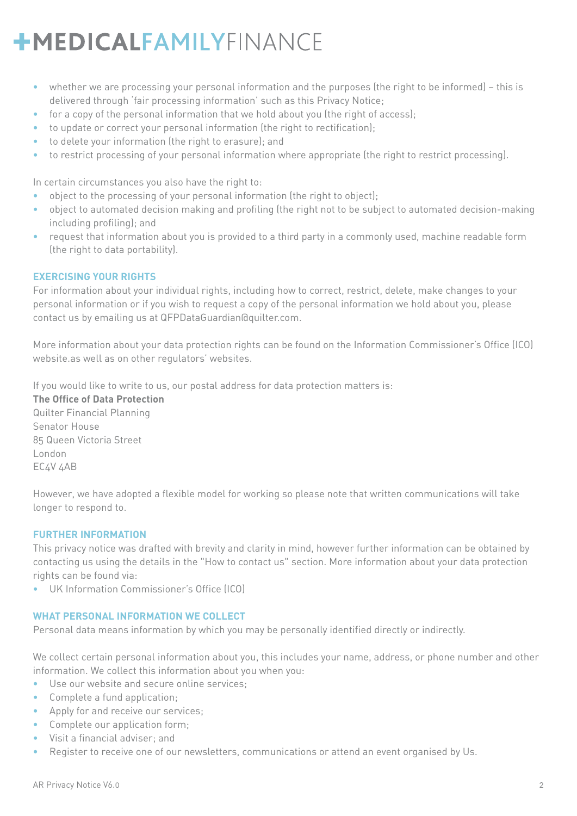- **•** whether we are processing your personal information and the purposes (the right to be informed) this is delivered through 'fair processing information' such as this Privacy Notice;
- **•** for a copy of the personal information that we hold about you (the right of access);
- **•** to update or correct your personal information (the right to rectification);
- **•** to delete your information (the right to erasure); and
- **•** to restrict processing of your personal information where appropriate (the right to restrict processing).

In certain circumstances you also have the right to:

- **•** object to the processing of your personal information (the right to object);
- **•** object to automated decision making and profiling (the right not to be subject to automated decision-making including profiling); and
- **•** request that information about you is provided to a third party in a commonly used, machine readable form (the right to data portability).

### **EXERCISING YOUR RIGHTS**

For information about your individual rights, including how to correct, restrict, delete, make changes to your personal information or if you wish to request a copy of the personal information we hold about you, please contact us by emailing us at QFPDataGuardian@quilter.com.

More information about your data protection rights can be found on the Information Commissioner's Office (ICO) website.as well as on other regulators' websites.

If you would like to write to us, our postal address for data protection matters is:

**The Office of Data Protection** Quilter Financial Planning Senator House 85 Queen Victoria Street London EC4V 4AB

However, we have adopted a flexible model for working so please note that written communications will take longer to respond to.

### **FURTHER INFORMATION**

This privacy notice was drafted with brevity and clarity in mind, however further information can be obtained by contacting us using the details in the "How to contact us" section. More information about your data protection rights can be found via:

**•** UK Information Commissioner's Office (ICO)

### **WHAT PERSONAL INFORMATION WE COLLECT**

Personal data means information by which you may be personally identified directly or indirectly.

We collect certain personal information about you, this includes your name, address, or phone number and other information. We collect this information about you when you:

- **•** Use our website and secure online services;
- **•** Complete a fund application;
- **•** Apply for and receive our services;
- **•** Complete our application form;
- **•** Visit a financial adviser; and
- **•** Register to receive one of our newsletters, communications or attend an event organised by Us.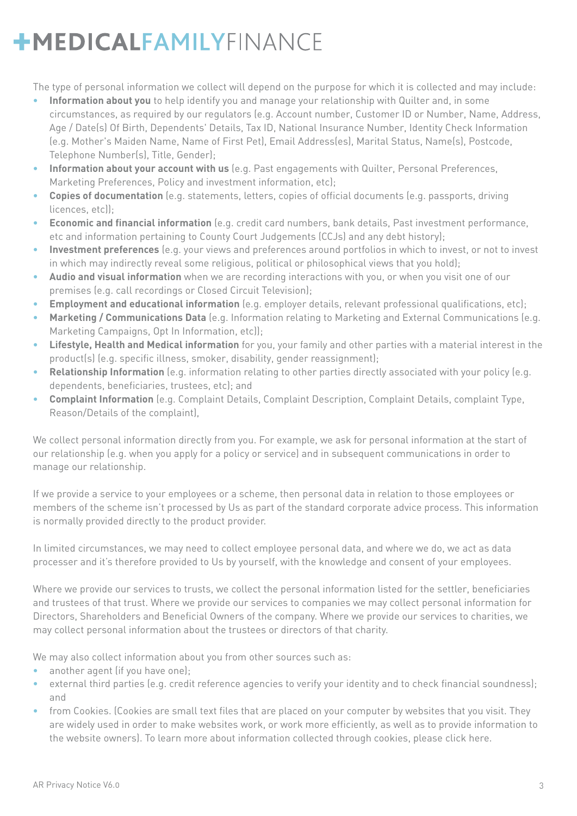The type of personal information we collect will depend on the purpose for which it is collected and may include:

- **• Information about you** to help identify you and manage your relationship with Quilter and, in some circumstances, as required by our regulators (e.g. Account number, Customer ID or Number, Name, Address, Age / Date(s) Of Birth, Dependents' Details, Tax ID, National Insurance Number, Identity Check Information (e.g. Mother's Maiden Name, Name of First Pet), Email Address(es), Marital Status, Name(s), Postcode, Telephone Number(s), Title, Gender);
- **• Information about your account with us** (e.g. Past engagements with Quilter, Personal Preferences, Marketing Preferences, Policy and investment information, etc);
- **• Copies of documentation** (e.g. statements, letters, copies of official documents (e.g. passports, driving licences, etc));
- **• Economic and financial information** (e.g. credit card numbers, bank details, Past investment performance, etc and information pertaining to County Court Judgements (CCJs) and any debt history);
- **• Investment preferences** (e.g. your views and preferences around portfolios in which to invest, or not to invest in which may indirectly reveal some religious, political or philosophical views that you hold);
- **• Audio and visual information** when we are recording interactions with you, or when you visit one of our premises (e.g. call recordings or Closed Circuit Television);
- **• Employment and educational information** (e.g. employer details, relevant professional qualifications, etc);
- **• Marketing / Communications Data** (e.g. Information relating to Marketing and External Communications (e.g. Marketing Campaigns, Opt In Information, etc));
- **• Lifestyle, Health and Medical information** for you, your family and other parties with a material interest in the product(s) (e.g. specific illness, smoker, disability, gender reassignment);
- **• Relationship Information** (e.g. information relating to other parties directly associated with your policy (e.g. dependents, beneficiaries, trustees, etc); and
- **• Complaint Information** (e.g. Complaint Details, Complaint Description, Complaint Details, complaint Type, Reason/Details of the complaint),

We collect personal information directly from you. For example, we ask for personal information at the start of our relationship (e.g. when you apply for a policy or service) and in subsequent communications in order to manage our relationship.

If we provide a service to your employees or a scheme, then personal data in relation to those employees or members of the scheme isn't processed by Us as part of the standard corporate advice process. This information is normally provided directly to the product provider.

In limited circumstances, we may need to collect employee personal data, and where we do, we act as data processer and it's therefore provided to Us by yourself, with the knowledge and consent of your employees.

Where we provide our services to trusts, we collect the personal information listed for the settler, beneficiaries and trustees of that trust. Where we provide our services to companies we may collect personal information for Directors, Shareholders and Beneficial Owners of the company. Where we provide our services to charities, we may collect personal information about the trustees or directors of that charity.

We may also collect information about you from other sources such as:

- **•** another agent (if you have one);
- **•** external third parties (e.g. credit reference agencies to verify your identity and to check financial soundness); and
- **•** from Cookies. (Cookies are small text files that are placed on your computer by websites that you visit. They are widely used in order to make websites work, or work more efficiently, as well as to provide information to the website owners). To learn more about information collected through cookies, please click here.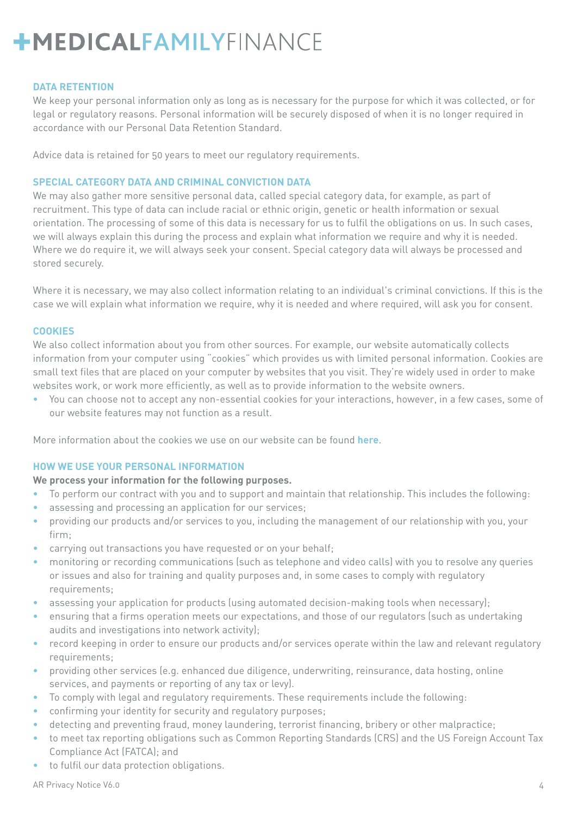#### **DATA RETENTION**

We keep your personal information only as long as is necessary for the purpose for which it was collected, or for legal or regulatory reasons. Personal information will be securely disposed of when it is no longer required in accordance with our Personal Data Retention Standard.

Advice data is retained for 50 years to meet our regulatory requirements.

#### **SPECIAL CATEGORY DATA AND CRIMINAL CONVICTION DATA**

We may also gather more sensitive personal data, called special category data, for example, as part of recruitment. This type of data can include racial or ethnic origin, genetic or health information or sexual orientation. The processing of some of this data is necessary for us to fulfil the obligations on us. In such cases, we will always explain this during the process and explain what information we require and why it is needed. Where we do require it, we will always seek your consent. Special category data will always be processed and stored securely.

Where it is necessary, we may also collect information relating to an individual's criminal convictions. If this is the case we will explain what information we require, why it is needed and where required, will ask you for consent.

#### **COOKIES**

We also collect information about you from other sources. For example, our website automatically collects information from your computer using "cookies" which provides us with limited personal information. Cookies are small text files that are placed on your computer by websites that you visit. They're widely used in order to make websites work, or work more efficiently, as well as to provide information to the website owners.

**•** You can choose not to accept any non-essential cookies for your interactions, however, in a few cases, some of our website features may not function as a result.

More information about the cookies we use on our website can be found **here**.

#### **HOW WE USE YOUR PERSONAL INFORMATION**

### **We process your information for the following purposes.**

- **•** To perform our contract with you and to support and maintain that relationship. This includes the following:
- **•** assessing and processing an application for our services;
- **•** providing our products and/or services to you, including the management of our relationship with you, your firm;
- **•** carrying out transactions you have requested or on your behalf;
- **•** monitoring or recording communications (such as telephone and video calls) with you to resolve any queries or issues and also for training and quality purposes and, in some cases to comply with regulatory requirements;
- **•** assessing your application for products (using automated decision-making tools when necessary);
- **•** ensuring that a firms operation meets our expectations, and those of our regulators (such as undertaking audits and investigations into network activity);
- **•** record keeping in order to ensure our products and/or services operate within the law and relevant regulatory requirements;
- **•** providing other services (e.g. enhanced due diligence, underwriting, reinsurance, data hosting, online services, and payments or reporting of any tax or levy).
- **•** To comply with legal and regulatory requirements. These requirements include the following:
- **•** confirming your identity for security and regulatory purposes;
- **•** detecting and preventing fraud, money laundering, terrorist financing, bribery or other malpractice;
- **•** to meet tax reporting obligations such as Common Reporting Standards (CRS) and the US Foreign Account Tax Compliance Act (FATCA); and
- **•** to fulfil our data protection obligations.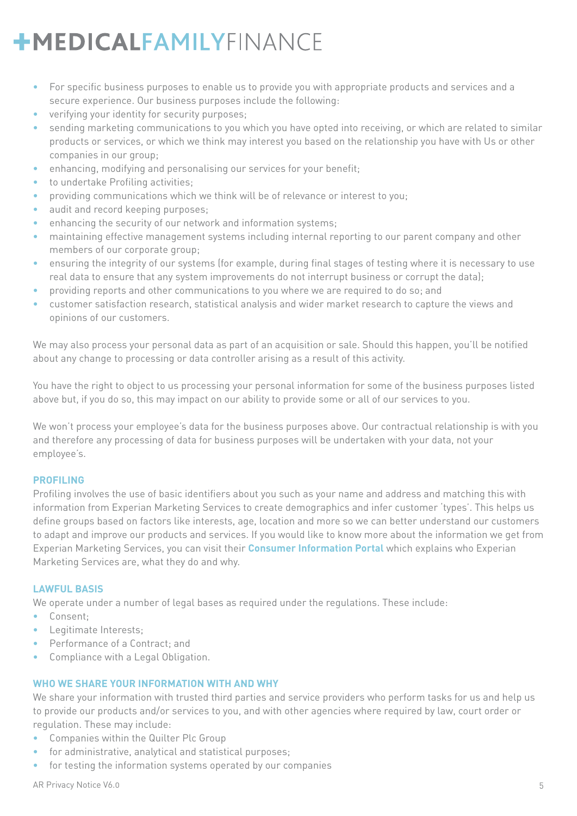- **•** For specific business purposes to enable us to provide you with appropriate products and services and a secure experience. Our business purposes include the following:
- **•** verifying your identity for security purposes;
- **•** sending marketing communications to you which you have opted into receiving, or which are related to similar products or services, or which we think may interest you based on the relationship you have with Us or other companies in our group;
- **•** enhancing, modifying and personalising our services for your benefit;
- **•** to undertake Profiling activities;
- **•** providing communications which we think will be of relevance or interest to you;
- **•** audit and record keeping purposes;
- **•** enhancing the security of our network and information systems;
- **•** maintaining effective management systems including internal reporting to our parent company and other members of our corporate group;
- **•** ensuring the integrity of our systems (for example, during final stages of testing where it is necessary to use real data to ensure that any system improvements do not interrupt business or corrupt the data);
- **•** providing reports and other communications to you where we are required to do so; and
- **•** customer satisfaction research, statistical analysis and wider market research to capture the views and opinions of our customers.

We may also process your personal data as part of an acquisition or sale. Should this happen, you'll be notified about any change to processing or data controller arising as a result of this activity.

You have the right to object to us processing your personal information for some of the business purposes listed above but, if you do so, this may impact on our ability to provide some or all of our services to you.

We won't process your employee's data for the business purposes above. Our contractual relationship is with you and therefore any processing of data for business purposes will be undertaken with your data, not your employee's.

### **PROFILING**

Profiling involves the use of basic identifiers about you such as your name and address and matching this with information from Experian Marketing Services to create demographics and infer customer 'types'. This helps us define groups based on factors like interests, age, location and more so we can better understand our customers to adapt and improve our products and services. If you would like to know more about the information we get from Experian Marketing Services, you can visit their **Consumer Information Portal** which explains who Experian Marketing Services are, what they do and why.

## **LAWFUL BASIS**

We operate under a number of legal bases as required under the regulations. These include:

- **•** Consent;
- **•** Legitimate Interests;
- **•** Performance of a Contract; and
- **•** Compliance with a Legal Obligation.

## **WHO WE SHARE YOUR INFORMATION WITH AND WHY**

We share your information with trusted third parties and service providers who perform tasks for us and help us to provide our products and/or services to you, and with other agencies where required by law, court order or regulation. These may include:

- **•** Companies within the Quilter Plc Group
- **•** for administrative, analytical and statistical purposes;
- **•** for testing the information systems operated by our companies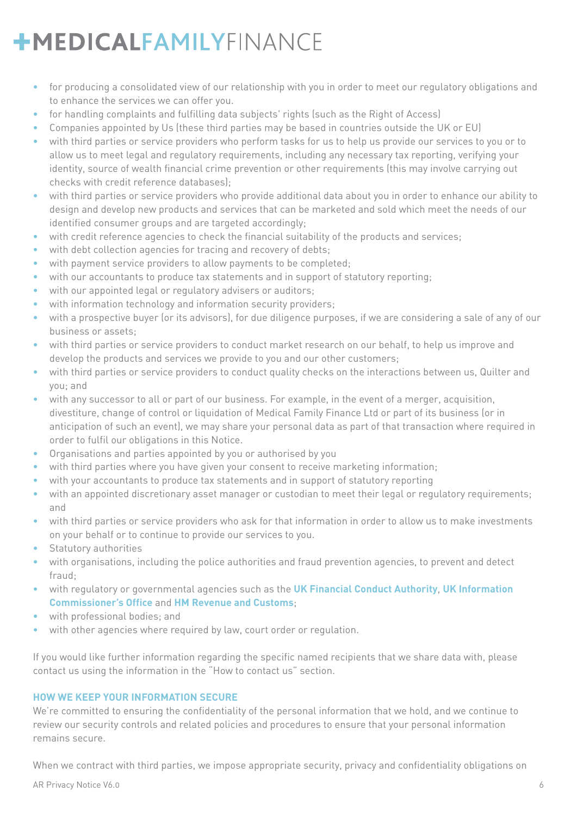- **•** for producing a consolidated view of our relationship with you in order to meet our regulatory obligations and to enhance the services we can offer you.
- **•** for handling complaints and fulfilling data subjects' rights (such as the Right of Access)
- **•** Companies appointed by Us (these third parties may be based in countries outside the UK or EU)
- **•** with third parties or service providers who perform tasks for us to help us provide our services to you or to allow us to meet legal and regulatory requirements, including any necessary tax reporting, verifying your identity, source of wealth financial crime prevention or other requirements (this may involve carrying out checks with credit reference databases);
- **•** with third parties or service providers who provide additional data about you in order to enhance our ability to design and develop new products and services that can be marketed and sold which meet the needs of our identified consumer groups and are targeted accordingly;
- **•** with credit reference agencies to check the financial suitability of the products and services;
- **•** with debt collection agencies for tracing and recovery of debts;
- **•** with payment service providers to allow payments to be completed;
- **•** with our accountants to produce tax statements and in support of statutory reporting;
- **•** with our appointed legal or regulatory advisers or auditors;
- **•** with information technology and information security providers;
- **•** with a prospective buyer (or its advisors), for due diligence purposes, if we are considering a sale of any of our business or assets;
- **•** with third parties or service providers to conduct market research on our behalf, to help us improve and develop the products and services we provide to you and our other customers;
- **•** with third parties or service providers to conduct quality checks on the interactions between us, Quilter and you; and
- **•** with any successor to all or part of our business. For example, in the event of a merger, acquisition, divestiture, change of control or liquidation of Medical Family Finance Ltd or part of its business (or in anticipation of such an event), we may share your personal data as part of that transaction where required in order to fulfil our obligations in this Notice.
- **•** Organisations and parties appointed by you or authorised by you
- **•** with third parties where you have given your consent to receive marketing information;
- **•** with your accountants to produce tax statements and in support of statutory reporting
- **•** with an appointed discretionary asset manager or custodian to meet their legal or regulatory requirements; and
- **•** with third parties or service providers who ask for that information in order to allow us to make investments on your behalf or to continue to provide our services to you.
- **•** Statutory authorities
- **•** with organisations, including the police authorities and fraud prevention agencies, to prevent and detect fraud;
- **•** with regulatory or governmental agencies such as the **UK Financial Conduct Authority**, **UK Information Commissioner's Office** and **HM Revenue and Customs**;
- **•** with professional bodies; and
- **•** with other agencies where required by law, court order or regulation.

If you would like further information regarding the specific named recipients that we share data with, please contact us using the information in the "How to contact us" section.

### **HOW WE KEEP YOUR INFORMATION SECURE**

We're committed to ensuring the confidentiality of the personal information that we hold, and we continue to review our security controls and related policies and procedures to ensure that your personal information remains secure.

When we contract with third parties, we impose appropriate security, privacy and confidentiality obligations on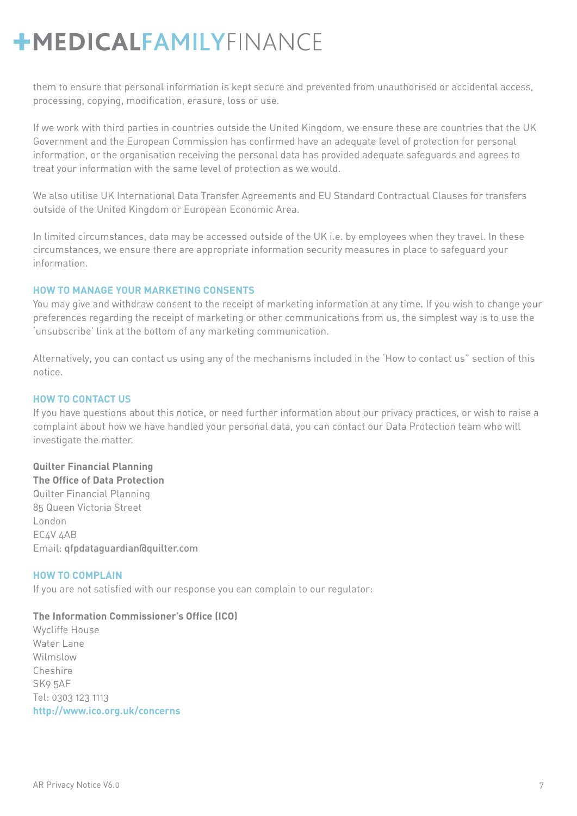them to ensure that personal information is kept secure and prevented from unauthorised or accidental access, processing, copying, modification, erasure, loss or use.

If we work with third parties in countries outside the United Kingdom, we ensure these are countries that the UK Government and the European Commission has confirmed have an adequate level of protection for personal information, or the organisation receiving the personal data has provided adequate safeguards and agrees to treat your information with the same level of protection as we would.

We also utilise UK International Data Transfer Agreements and EU Standard Contractual Clauses for transfers outside of the United Kingdom or European Economic Area.

In limited circumstances, data may be accessed outside of the UK i.e. by employees when they travel. In these circumstances, we ensure there are appropriate information security measures in place to safeguard your information.

### **HOW TO MANAGE YOUR MARKETING CONSENTS**

You may give and withdraw consent to the receipt of marketing information at any time. If you wish to change your preferences regarding the receipt of marketing or other communications from us, the simplest way is to use the 'unsubscribe' link at the bottom of any marketing communication.

Alternatively, you can contact us using any of the mechanisms included in the 'How to contact us" section of this notice.

### **HOW TO CONTACT US**

If you have questions about this notice, or need further information about our privacy practices, or wish to raise a complaint about how we have handled your personal data, you can contact our Data Protection team who will investigate the matter.

### **Quilter Financial Planning**

**The Office of Data Protection** Quilter Financial Planning 85 Queen Victoria Street London EC4V 4AB Email: qfpdataguardian@quilter.com

### **HOW TO COMPLAIN**

If you are not satisfied with our response you can complain to our regulator:

### **The Information Commissioner's Office (ICO)**

Wycliffe House Water Lane Wilmslow Cheshire SK9 5AF Tel: 0303 123 1113 **http://www.ico.org.uk/concerns**